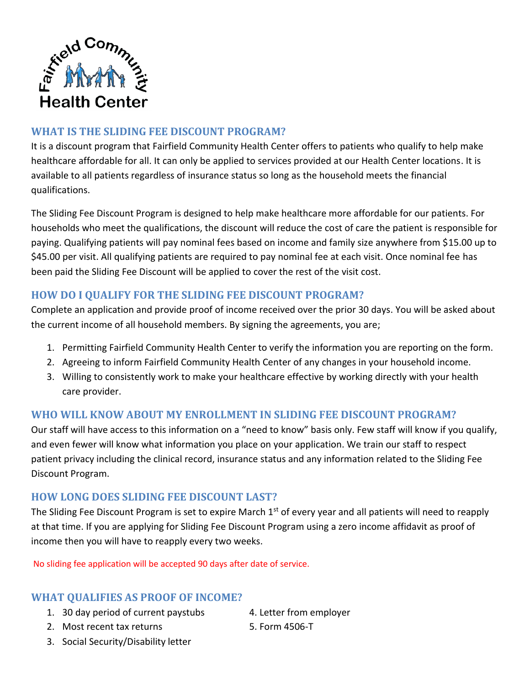

# **WHAT IS THE SLIDING FEE DISCOUNT PROGRAM?**

It is a discount program that Fairfield Community Health Center offers to patients who qualify to help make healthcare affordable for all. It can only be applied to services provided at our Health Center locations. It is available to all patients regardless of insurance status so long as the household meets the financial qualifications.

The Sliding Fee Discount Program is designed to help make healthcare more affordable for our patients. For households who meet the qualifications, the discount will reduce the cost of care the patient is responsible for paying. Qualifying patients will pay nominal fees based on income and family size anywhere from \$15.00 up to \$45.00 per visit. All qualifying patients are required to pay nominal fee at each visit. Once nominal fee has been paid the Sliding Fee Discount will be applied to cover the rest of the visit cost.

## **HOW DO I QUALIFY FOR THE SLIDING FEE DISCOUNT PROGRAM?**

Complete an application and provide proof of income received over the prior 30 days. You will be asked about the current income of all household members. By signing the agreements, you are;

- 1. Permitting Fairfield Community Health Center to verify the information you are reporting on the form.
- 2. Agreeing to inform Fairfield Community Health Center of any changes in your household income.
- 3. Willing to consistently work to make your healthcare effective by working directly with your health care provider.

### **WHO WILL KNOW ABOUT MY ENROLLMENT IN SLIDING FEE DISCOUNT PROGRAM?**

Our staff will have access to this information on a "need to know" basis only. Few staff will know if you qualify, and even fewer will know what information you place on your application. We train our staff to respect patient privacy including the clinical record, insurance status and any information related to the Sliding Fee Discount Program.

### **HOW LONG DOES SLIDING FEE DISCOUNT LAST?**

The Sliding Fee Discount Program is set to expire March 1<sup>st</sup> of every year and all patients will need to reapply at that time. If you are applying for Sliding Fee Discount Program using a zero income affidavit as proof of income then you will have to reapply every two weeks.

No sliding fee application will be accepted 90 days after date of service.

### **WHAT QUALIFIES AS PROOF OF INCOME?**

- 1. 30 day period of current paystubs 4. Letter from employer
- 2. Most recent tax returns 5. Form 4506-T

- 
- 3. Social Security/Disability letter